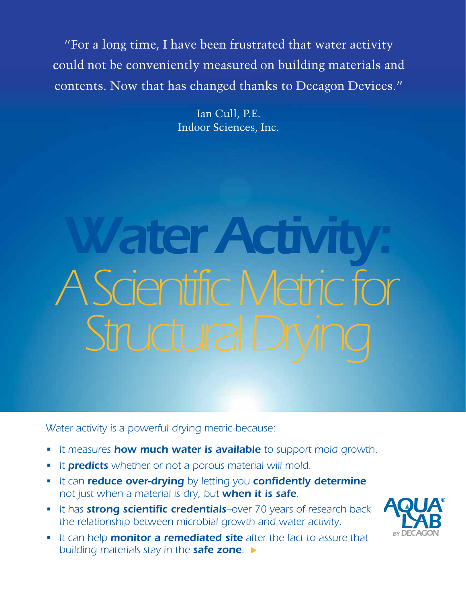"For a long time, I have been frustrated that water activity could not be conveniently measured on building materials and contents. Now that has changed thanks to Decagon Devices."

> Ian Cull, P.E. Indoor Sciences, Inc.

# Water Activi *A Scientific Metric for*  **Structural D**

*Water activity is a powerful drying metric because:*

- *• It measures how much water is available to support mold growth.*
- *• It predicts whether or not a porous material will mold.*
- *• It can reduce over-drying by letting you confidently determine not just when a material is dry, but when it is safe.*
- **•** It has **strong scientific credentials**-over 70 years of research back *the relationship between microbial growth and water activity.*
- *• It can help monitor a remediated site after the fact to assure that building materials stay in the safe zone.* u

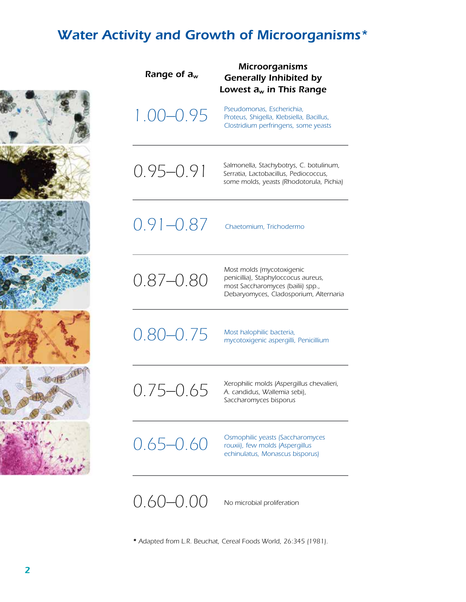# *Water Activity and Growth of Microorganisms\**



| Range of $a_w$ | <b>Microorganisms</b><br><b>Generally Inhibited by</b><br>Lowest $a_w$ in This Range                                                            |
|----------------|-------------------------------------------------------------------------------------------------------------------------------------------------|
| 1.00-0.95      | Pseudomonas, Escherichia,<br>Proteus, Shigella, Klebsiella, Bacillus,<br>Clostridium perfringens, some yeasts                                   |
| $0.95 - 0.91$  | Salmonella, Stachybotrys, C. botulinum,<br>Serratia, Lactobacillus, Pediococcus,<br>some molds, yeasts (Rhodotorula, Pichia)                    |
| $0.91 - 0.87$  | Chaetomium, Trichodermo                                                                                                                         |
| $0.87 - 0.80$  | Most molds (mycotoxigenic<br>penicillia), Staphyloccocus aureus,<br>most Saccharomyces (bailii) spp.,<br>Debaryomyces, Cladosporium, Alternaria |
| $0.80 - 0.75$  | Most halophilic bacteria,<br>mycotoxigenic aspergilli, Penicillium                                                                              |
| 0.75–0.65      | Xerophilic molds (Aspergillus chevalieri,<br>A. candidus, Wallemia sebi),<br>Saccharomyces bisporus                                             |
| 0.65–0.60      | Osmophilic yeasts (Saccharomyces<br>rouxii), few molds (Aspergillus<br>echinulatus, Monascus bisporus)                                          |
| 0.60–0.00      | No microbial proliferation                                                                                                                      |

*\* Adapted from L.R. Beuchat, Cereal Foods World, 26:345 (1981).*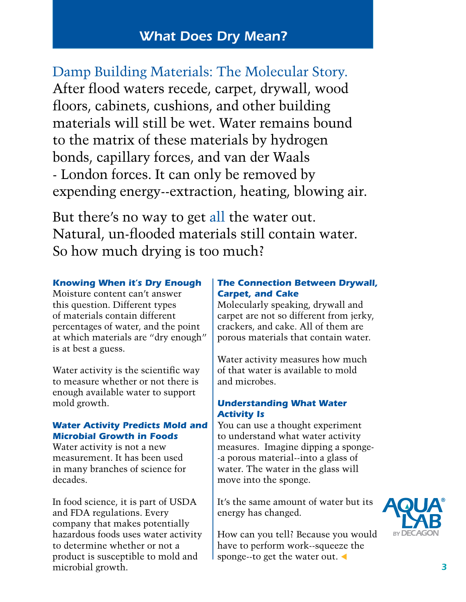# *What Does Dry Mean?*

Damp Building Materials: The Molecular Story. After flood waters recede, carpet, drywall, wood floors, cabinets, cushions, and other building materials will still be wet. Water remains bound to the matrix of these materials by hydrogen bonds, capillary forces, and van der Waals - London forces. It can only be removed by expending energy--extraction, heating, blowing air.

But there's no way to get all the water out. Natural, un-flooded materials still contain water. So how much drying is too much?

#### *Knowing When it's Dry Enough*

Moisture content can't answer this question. Different types of materials contain different percentages of water, and the point at which materials are "dry enough" is at best a guess.

Water activity is the scientific way to measure whether or not there is enough available water to support mold growth.

#### *Water Activity Predicts Mold and Microbial Growth in Foods*

Water activity is not a new measurement. It has been used in many branches of science for decades.

In food science, it is part of USDA and FDA regulations. Every company that makes potentially hazardous foods uses water activity to determine whether or not a product is susceptible to mold and microbial growth.

#### *The Connection Between Drywall, Carpet, and Cake*

Molecularly speaking, drywall and carpet are not so different from jerky, crackers, and cake. All of them are porous materials that contain water.

Water activity measures how much of that water is available to mold and microbes.

#### *Understanding What Water Activity Is*

You can use a thought experiment to understand what water activity measures. Imagine dipping a sponge- -a porous material--into a glass of water. The water in the glass will move into the sponge.

It's the same amount of water but its energy has changed.

How can you tell? Because you would have to perform work--squeeze the sponge--to get the water out.

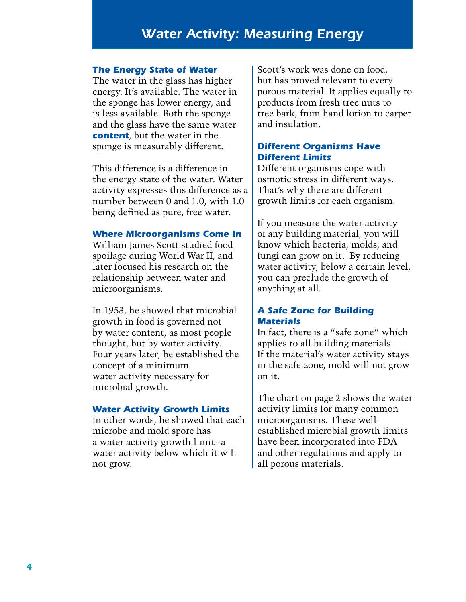## *Water Activity: Measuring Energy*

#### *The Energy State of Water*

The water in the glass has higher energy. It's available. The water in the sponge has lower energy, and is less available. Both the sponge and the glass have the same water *content*, but the water in the sponge is measurably different.

This difference is a difference in the energy state of the water. Water activity expresses this difference as a number between 0 and 1.0, with 1.0 being defined as pure, free water.

#### *Where Microorganisms Come In*

William James Scott studied food spoilage during World War II, and later focused his research on the relationship between water and microorganisms.

In 1953, he showed that microbial growth in food is governed not by water content, as most people thought, but by water activity. Four years later, he established the concept of a minimum water activity necessary for microbial growth.

#### *Water Activity Growth Limits*

In other words, he showed that each microbe and mold spore has a water activity growth limit--a water activity below which it will not grow.

Scott's work was done on food, but has proved relevant to every porous material. It applies equally to products from fresh tree nuts to tree bark, from hand lotion to carpet and insulation.

#### *Different Organisms Have Different Limits*

Different organisms cope with osmotic stress in different ways. That's why there are different growth limits for each organism.

If you measure the water activity of any building material, you will know which bacteria, molds, and fungi can grow on it. By reducing water activity, below a certain level, you can preclude the growth of anything at all.

#### *A Safe Zone for Building Materials*

In fact, there is a "safe zone" which applies to all building materials. If the material's water activity stays in the safe zone, mold will not grow on it.

The chart on page 2 shows the water activity limits for many common microorganisms. These wellestablished microbial growth limits have been incorporated into FDA and other regulations and apply to all porous materials.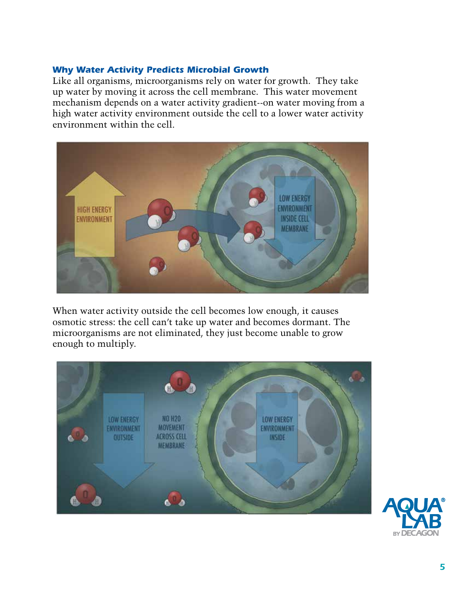#### *Why Water Activity Predicts Microbial Growth*

Like all organisms, microorganisms rely on water for growth. They take up water by moving it across the cell membrane. This water movement mechanism depends on a water activity gradient--on water moving from a high water activity environment outside the cell to a lower water activity environment within the cell.



When water activity outside the cell becomes low enough, it causes osmotic stress: the cell can't take up water and becomes dormant. The microorganisms are not eliminated, they just become unable to grow enough to multiply.



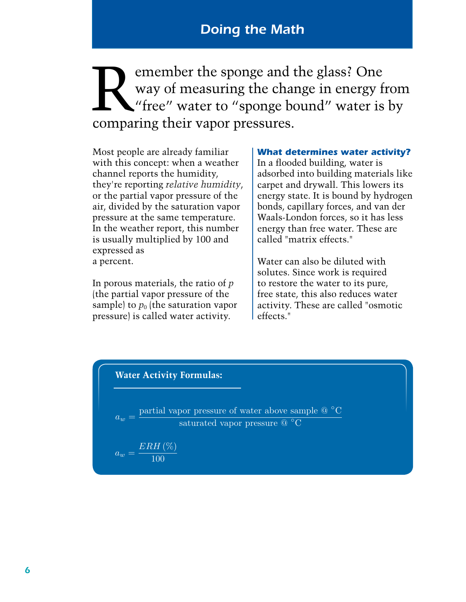Remember the sponge and the glass? One<br>way of measuring the change in energy fi<br>"free" water to "sponge bound" water is<br>comparing their vapor pressures way of measuring the change in energy from "free" water to "sponge bound" water is by comparing their vapor pressures.

Most people are already familiar with this concept: when a weather channel reports the humidity, they're reporting *relative humidity*, or the partial vapor pressure of the air, divided by the saturation vapor pressure at the same temperature. In the weather report, this number is usually multiplied by 100 and expressed as a percent.

In porous materials, the ratio of *p* (the partial vapor pressure of the sample) to  $p_0$  (the saturation vapor pressure) is called water activity.

*What determines water activity?* In a flooded building, water is adsorbed into building materials like carpet and drywall. This lowers its energy state. It is bound by hydrogen bonds, capillary forces, and van der Waals-London forces, so it has less energy than free water. These are called "matrix effects."

Water can also be diluted with solutes. Since work is required to restore the water to its pure, free state, this also reduces water activity. These are called "osmotic effects."

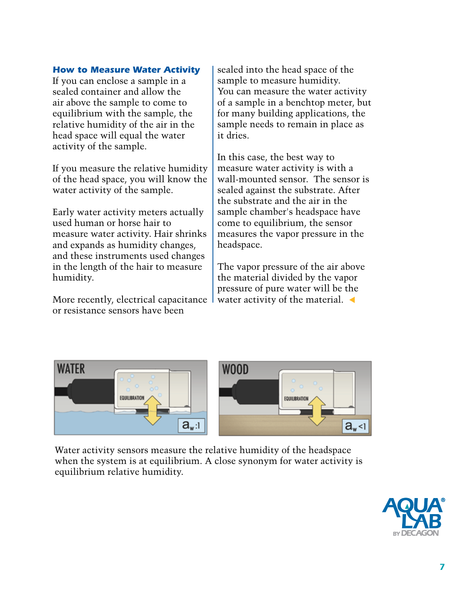#### *How to Measure Water Activity*

If you can enclose a sample in a sealed container and allow the air above the sample to come to equilibrium with the sample, the relative humidity of the air in the head space will equal the water activity of the sample.

If you measure the relative humidity of the head space, you will know the water activity of the sample.

Early water activity meters actually used human or horse hair to measure water activity. Hair shrinks and expands as humidity changes, and these instruments used changes in the length of the hair to measure humidity.

More recently, electrical capacitance or resistance sensors have been

sealed into the head space of the sample to measure humidity. You can measure the water activity of a sample in a benchtop meter, but for many building applications, the sample needs to remain in place as it dries.

In this case, the best way to measure water activity is with a wall-mounted sensor. The sensor is sealed against the substrate. After the substrate and the air in the sample chamber's headspace have come to equilibrium, the sensor measures the vapor pressure in the headspace.

The vapor pressure of the air above the material divided by the vapor pressure of pure water will be the water activity of the material.  $\blacktriangleleft$ 



Water activity sensors measure the relative humidity of the headspace when the system is at equilibrium. A close synonym for water activity is equilibrium relative humidity.

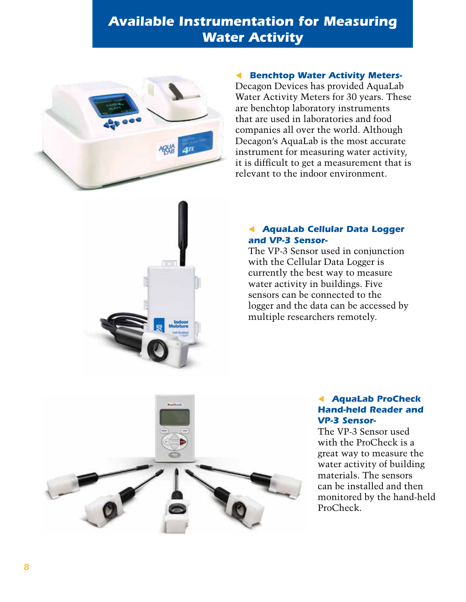# *Available Instrumentation for Measuring Water Activity*



#### **Benchtop Water Activity Meters-**

Decagon Devices has provided AquaLab Water Activity Meters for 30 years. These are benchtop laboratory instruments that are used in laboratories and food companies all over the world. Although Decagon's AquaLab is the most accurate instrument for measuring water activity, it is difficult to get a measurement that is relevant to the indoor environment.



The VP-3 Sensor used in conjunction with the Cellular Data Logger is currently the best way to measure water activity in buildings. Five sensors can be connected to the logger and the data can be accessed by multiple researchers remotely.



#### t *AquaLab ProCheck Hand-held Reader and VP-3 Sensor-*

The VP-3 Sensor used with the ProCheck is a great way to measure the water activity of building materials. The sensors can be installed and then monitored by the hand-held ProCheck.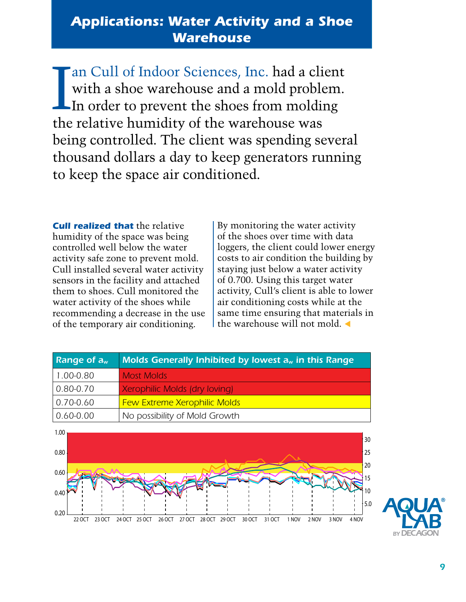# *Applications: Water Activity and a Shoe Warehouse*

I an Cull of Indoor Sciences, Inc. had a client with a shoe warehouse and a mold problem. In order to prevent the shoes from molding the relative humidity of the warehouse was being controlled. The client was spending several thousand dollars a day to keep generators running to keep the space air conditioned.

*Cull realized that* the relative humidity of the space was being controlled well below the water activity safe zone to prevent mold. Cull installed several water activity sensors in the facility and attached them to shoes. Cull monitored the water activity of the shoes while recommending a decrease in the use of the temporary air conditioning.

By monitoring the water activity of the shoes over time with data loggers, the client could lower energy costs to air condition the building by staying just below a water activity of 0.700. Using this target water activity, Cull's client is able to lower air conditioning costs while at the same time ensuring that materials in the warehouse will not mold  $\triangleleft$ 

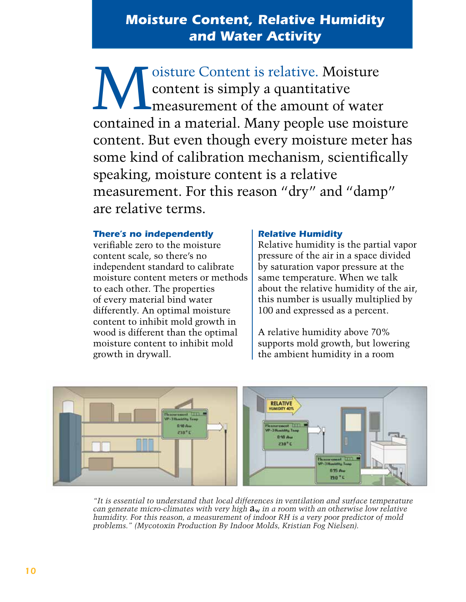# *Moisture Content, Relative Humidity and Water Activity*

Moisture Content is relative. Moisture<br>
content is simply a quantitative<br>
measurement of the amount of water content is simply a quantitative measurement of the amount of water contained in a material. Many people use moisture content. But even though every moisture meter has some kind of calibration mechanism, scientifically speaking, moisture content is a relative measurement. For this reason "dry" and "damp" are relative terms.

#### *There's no independently*

verifiable zero to the moisture content scale, so there's no independent standard to calibrate moisture content meters or methods to each other. The properties of every material bind water differently. An optimal moisture content to inhibit mold growth in wood is different than the optimal moisture content to inhibit mold growth in drywall.

#### *Relative Humidity*

Relative humidity is the partial vapor pressure of the air in a space divided by saturation vapor pressure at the same temperature. When we talk about the relative humidity of the air, this number is usually multiplied by 100 and expressed as a percent.

A relative humidity above 70% supports mold growth, but lowering the ambient humidity in a room



*"It is essential to understand that local differences in ventilation and surface temperature can generate micro-climates with very high* aw *in a room with an otherwise low relative humidity. For this reason, a measurement of indoor RH is a very poor predictor of mold problems." (Mycotoxin Production By Indoor Molds, Kristian Fog Nielsen).*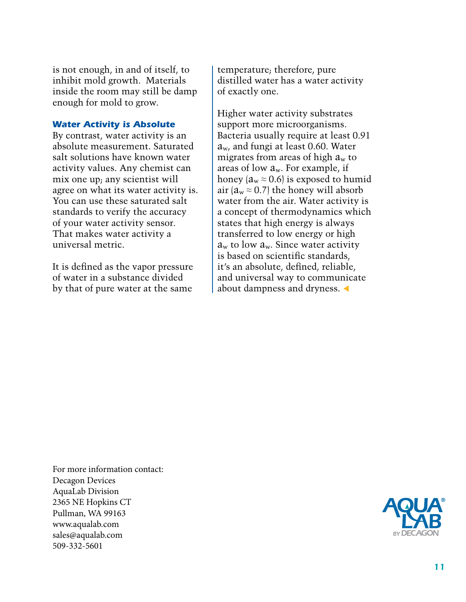is not enough, in and of itself, to inhibit mold growth. Materials inside the room may still be damp enough for mold to grow.

#### *Water Activity is Absolute*

By contrast, water activity is an absolute measurement. Saturated salt solutions have known water activity values. Any chemist can mix one up; any scientist will agree on what its water activity is. You can use these saturated salt standards to verify the accuracy of your water activity sensor. That makes water activity a universal metric.

It is defined as the vapor pressure of water in a substance divided by that of pure water at the same

temperature; therefore, pure distilled water has a water activity of exactly one.

Higher water activity substrates support more microorganisms. Bacteria usually require at least 0.91  $a_{w}$ , and fungi at least 0.60. Water migrates from areas of high  $a_w$  to areas of low  $a_w$ . For example, if honey ( $a_w \approx 0.6$ ) is exposed to humid air ( $a_w \approx 0.7$ ) the honey will absorb water from the air. Water activity is a concept of thermodynamics which states that high energy is always transferred to low energy or high  $a_w$  to low  $a_w$ . Since water activity is based on scientific standards, it's an absolute, defined, reliable, and universal way to communicate about dampness and dryness.  $\triangleleft$ 

For more information contact: Decagon Devices AquaLab Division 2365 NE Hopkins CT Pullman, WA 99163 www.aqualab.com sales@aqualab.com 509-332-5601